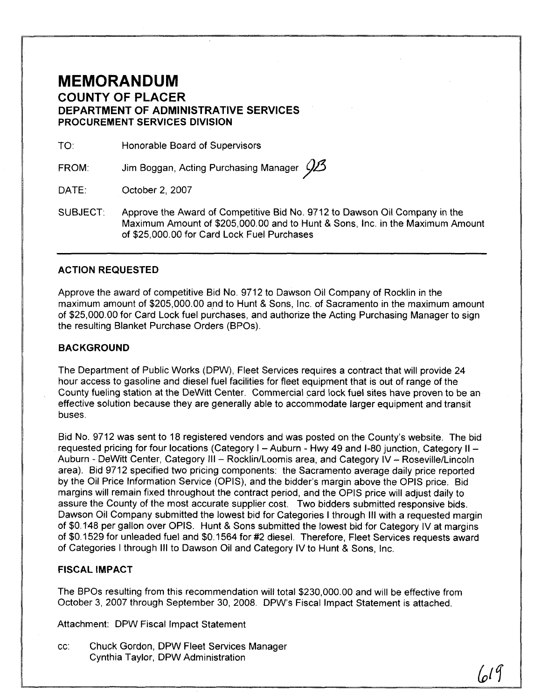## **MEMORANDUM COUNTY OF PLACER DEPARTMENT OF ADMINISTRATIVE SERVICES PROCUREMENT SERVICES DIVISION**

TO: Honorable Board of Supervisors

FROM: Jim Boggan, Acting Purchasing Manager  $\cancel{\cancel{23}}$ *3* 

DATE: October 2, 2007

SUBJECT: Approve the Award of Competitive Bid No. 9712 to Dawson Oil Company in the Maximum Amount of \$205,000.00 and to Hunt & Sons, Inc. in the Maximum Amount of \$25,000.00 for Card Lock Fuel Purchases

#### **ACTION REQUESTED**

Approve the award of competitive Bid No. 9712 to Dawson Oil Company of Rocklin in the maximum amount of \$205,000.00 and to Hunt & Sons, Inc. of Sacramento in the maximum amount of \$25,000.00 for Card Lock fuel purchases, and authorize the Acting Purchasing Manager to sign the resulting Blanket Purchase Orders (BPOs).

#### **BACKGROUND**

The Department of Public Works (DPW), Fleet Services requires a contract that will provide 24 hour access to gasoline and diesel fuel facilities for fleet equipment that is out of range of the County fueling station at the DeWitt Center. Commercial card lock fuel sites have proven to be an effective solution because they are generally able to accommodate larger equipment and transit buses.

Bid No. 9712 was sent to 18 registered vendors and was posted on the County's website. The bid requested pricing for four locations (Category I - Auburn - Hwy 49 and I-80 junction, Category II -Auburn - DeWitt Center, Category III - Rocklin/Loomis area, and Category IV - Roseville/Lincoln area). Bid 9712 specified two pricing components: the Sacramento average daily price reported by the Oil Price Information Service (OPIS), and the bidder's margin above the OPIS price. Bid margins will remain fixed throughout the contract period, and the OPIS price will adjust daily to assure the County of the most accurate supplier cost. Two bidders submitted responsive bids. Dawson Oil Company submitted the lowest bid for Categories I through Ill with a requested margin of \$0.148 per gallon over OPIS. Hunt & Sons submitted the lowest bid for Category IV at margins of \$0.1 529 for unleaded fuel and \$0.1564 for #2 diesel. Therefore, Fleet Services requests award of Categories I through Ill to Dawson Oil and Category IV to Hunt & Sons, Inc.

#### **FISCAL IMPACT**

The BPOs resulting from this recommendation will total \$230,000.00 and will be effective from October 3, 2007 through September 30, 2008. DPW's Fiscal Impact Statement is attached.

Attachment: DPW Fiscal Impact Statement

cc: Chuck Gordon, DPW Fleet Services Manager Cynthia Taylor, DPW Administration